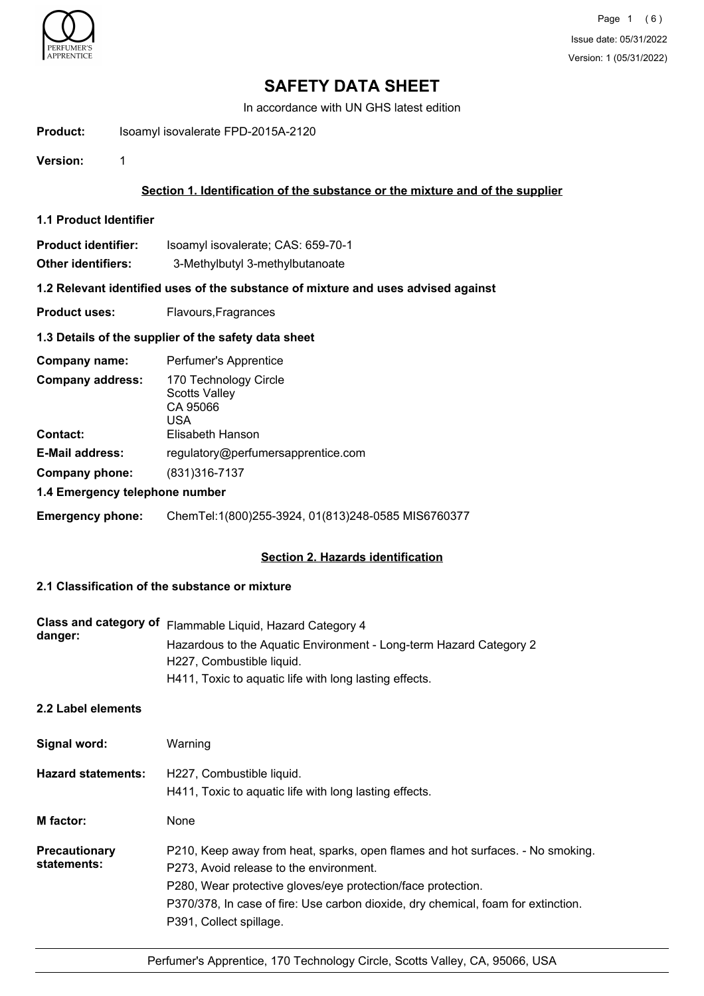

In accordance with UN GHS latest edition

**Product:** Isoamyl isovalerate FPD-2015A-2120

**Version:** 1

# **Section 1. Identification of the substance or the mixture and of the supplier**

**1.1 Product Identifier**

| <b>Product identifier:</b> | Isoamyl isovalerate; CAS: 659-70-1 |
|----------------------------|------------------------------------|
| Other identifiers:         | 3-Methylbutyl 3-methylbutanoate    |

# **1.2 Relevant identified uses of the substance of mixture and uses advised against**

**Product uses:** Flavours, Fragrances

## **1.3 Details of the supplier of the safety data sheet**

| Company name:                  | Perfumer's Apprentice                                            |
|--------------------------------|------------------------------------------------------------------|
| <b>Company address:</b>        | 170 Technology Circle<br><b>Scotts Valley</b><br>CA 95066<br>USA |
| <b>Contact:</b>                | Elisabeth Hanson                                                 |
| <b>E-Mail address:</b>         | regulatory@perfumersapprentice.com                               |
| Company phone:                 | (831) 316-7137                                                   |
| 1.4 Emergency telephone number |                                                                  |

### **Emergency phone:** ChemTel:1(800)255-3924, 01(813)248-0585 MIS6760377

### **Section 2. Hazards identification**

# **2.1 Classification of the substance or mixture**

| danger: | Class and category of Flammable Liquid, Hazard Category 4          |
|---------|--------------------------------------------------------------------|
|         | Hazardous to the Aquatic Environment - Long-term Hazard Category 2 |
|         | H227, Combustible liquid.                                          |
|         | H411, Toxic to aguatic life with long lasting effects.             |

# **2.2 Label elements**

| Signal word:                 | Warning                                                                                                                                                                                                                                                                                                   |
|------------------------------|-----------------------------------------------------------------------------------------------------------------------------------------------------------------------------------------------------------------------------------------------------------------------------------------------------------|
| <b>Hazard statements:</b>    | H227, Combustible liquid.<br>H411, Toxic to aquatic life with long lasting effects.                                                                                                                                                                                                                       |
| M factor:                    | None                                                                                                                                                                                                                                                                                                      |
| Precautionary<br>statements: | P210, Keep away from heat, sparks, open flames and hot surfaces. - No smoking.<br>P273, Avoid release to the environment.<br>P280, Wear protective gloves/eye protection/face protection.<br>P370/378, In case of fire: Use carbon dioxide, dry chemical, foam for extinction.<br>P391, Collect spillage. |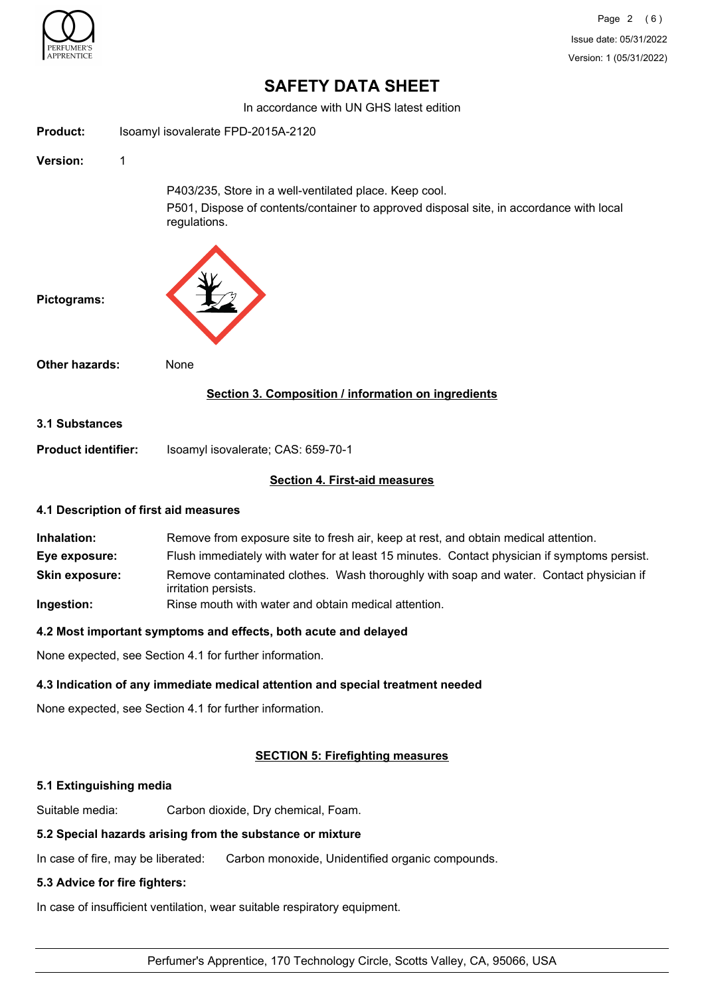

In accordance with UN GHS latest edition

| <b>Product:</b>                                          | Isoamyl isovalerate FPD-2015A-2120                                                                                                                                |  |
|----------------------------------------------------------|-------------------------------------------------------------------------------------------------------------------------------------------------------------------|--|
| <b>Version:</b>                                          | 1                                                                                                                                                                 |  |
|                                                          | P403/235, Store in a well-ventilated place. Keep cool.<br>P501, Dispose of contents/container to approved disposal site, in accordance with local<br>regulations. |  |
| Pictograms:                                              |                                                                                                                                                                   |  |
| <b>Other hazards:</b>                                    | None                                                                                                                                                              |  |
|                                                          | Section 3. Composition / information on ingredients                                                                                                               |  |
| 3.1 Substances                                           |                                                                                                                                                                   |  |
| <b>Product identifier:</b>                               | Isoamyl isovalerate; CAS: 659-70-1                                                                                                                                |  |
|                                                          | <b>Section 4. First-aid measures</b>                                                                                                                              |  |
| $\overline{1}$ , and $\overline{1}$ , and $\overline{1}$ | .                                                                                                                                                                 |  |

### **4.1 Description of first aid measures**

| Inhalation:           | Remove from exposure site to fresh air, keep at rest, and obtain medical attention.                            |  |
|-----------------------|----------------------------------------------------------------------------------------------------------------|--|
| Eye exposure:         | Flush immediately with water for at least 15 minutes. Contact physician if symptoms persist.                   |  |
| <b>Skin exposure:</b> | Remove contaminated clothes. Wash thoroughly with soap and water. Contact physician if<br>irritation persists. |  |
| Ingestion:            | Rinse mouth with water and obtain medical attention.                                                           |  |

### **4.2 Most important symptoms and effects, both acute and delayed**

None expected, see Section 4.1 for further information.

### **4.3 Indication of any immediate medical attention and special treatment needed**

None expected, see Section 4.1 for further information.

### **SECTION 5: Firefighting measures**

### **5.1 Extinguishing media**

Suitable media: Carbon dioxide, Dry chemical, Foam.

# **5.2 Special hazards arising from the substance or mixture**

In case of fire, may be liberated: Carbon monoxide, Unidentified organic compounds.

# **5.3 Advice for fire fighters:**

In case of insufficient ventilation, wear suitable respiratory equipment.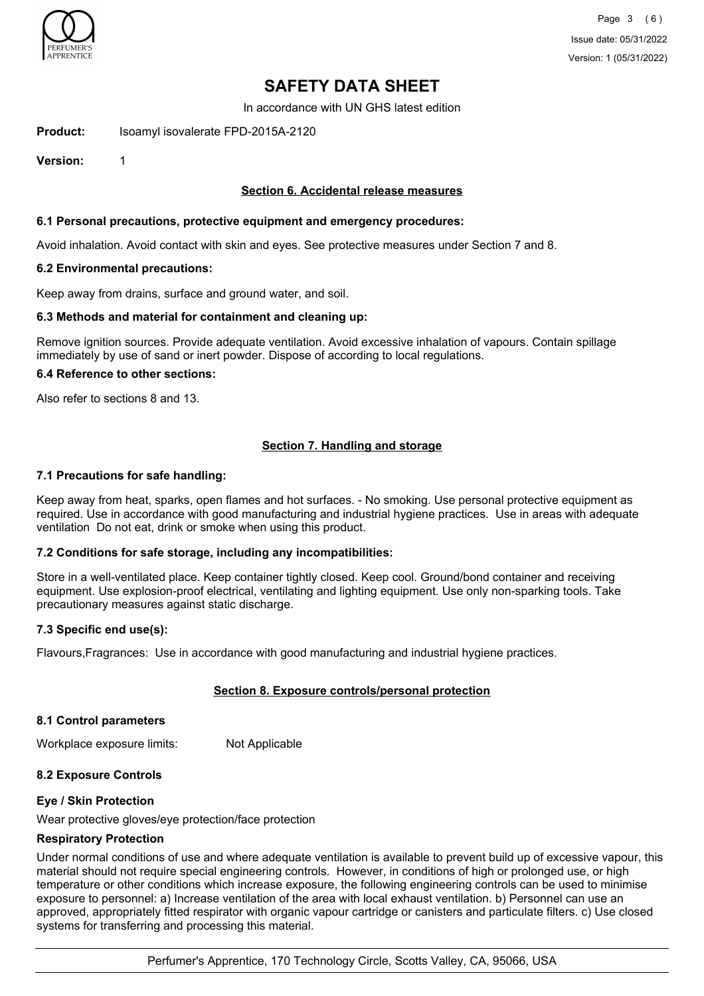

In accordance with UN GHS latest edition

**Product:** Isoamyl isovalerate FPD-2015A-2120

**Version:** 1

## **Section 6. Accidental release measures**

### **6.1 Personal precautions, protective equipment and emergency procedures:**

Avoid inhalation. Avoid contact with skin and eyes. See protective measures under Section 7 and 8.

### **6.2 Environmental precautions:**

Keep away from drains, surface and ground water, and soil.

### **6.3 Methods and material for containment and cleaning up:**

Remove ignition sources. Provide adequate ventilation. Avoid excessive inhalation of vapours. Contain spillage immediately by use of sand or inert powder. Dispose of according to local regulations.

### **6.4 Reference to other sections:**

Also refer to sections 8 and 13.

### **Section 7. Handling and storage**

### **7.1 Precautions for safe handling:**

Keep away from heat, sparks, open flames and hot surfaces. - No smoking. Use personal protective equipment as required. Use in accordance with good manufacturing and industrial hygiene practices. Use in areas with adequate ventilation Do not eat, drink or smoke when using this product.

### **7.2 Conditions for safe storage, including any incompatibilities:**

Store in a well-ventilated place. Keep container tightly closed. Keep cool. Ground/bond container and receiving equipment. Use explosion-proof electrical, ventilating and lighting equipment. Use only non-sparking tools. Take precautionary measures against static discharge.

### **7.3 Specific end use(s):**

Flavours,Fragrances: Use in accordance with good manufacturing and industrial hygiene practices.

### **Section 8. Exposure controls/personal protection**

### **8.1 Control parameters**

Workplace exposure limits: Not Applicable

### **8.2 Exposure Controls**

### **Eye / Skin Protection**

Wear protective gloves/eye protection/face protection

### **Respiratory Protection**

Under normal conditions of use and where adequate ventilation is available to prevent build up of excessive vapour, this material should not require special engineering controls. However, in conditions of high or prolonged use, or high temperature or other conditions which increase exposure, the following engineering controls can be used to minimise exposure to personnel: a) Increase ventilation of the area with local exhaust ventilation. b) Personnel can use an approved, appropriately fitted respirator with organic vapour cartridge or canisters and particulate filters. c) Use closed systems for transferring and processing this material.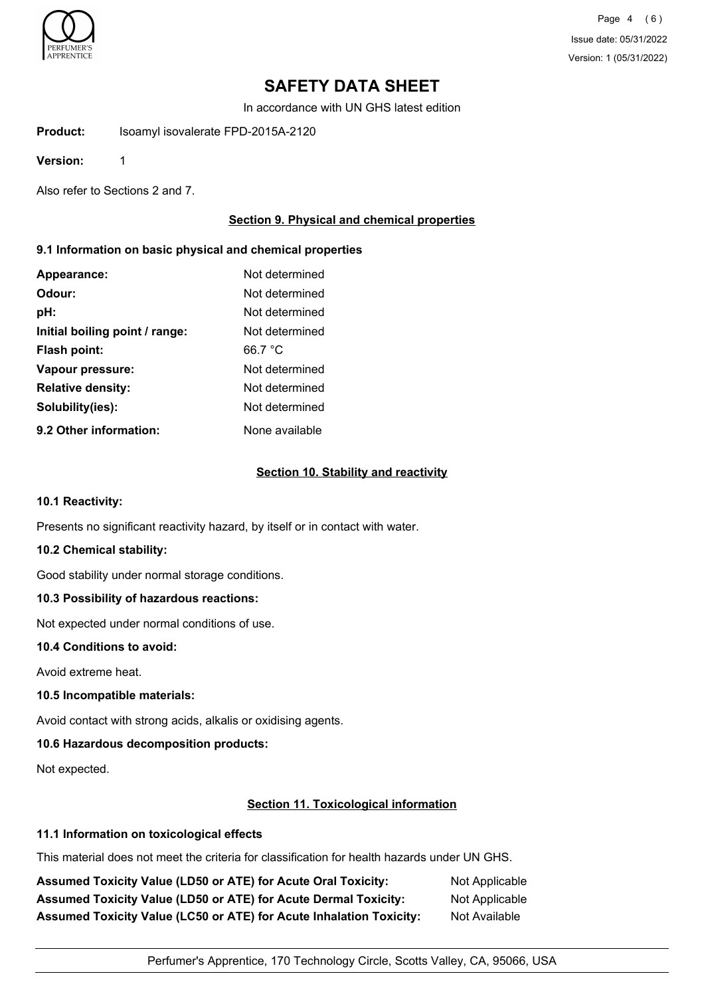

Page 4 (6) Issue date: 05/31/2022 Version: 1 (05/31/2022)

# **SAFETY DATA SHEET**

In accordance with UN GHS latest edition

**Product:** Isoamyl isovalerate FPD-2015A-2120

**Version:** 1

Also refer to Sections 2 and 7.

## **Section 9. Physical and chemical properties**

## **9.1 Information on basic physical and chemical properties**

| Appearance:                    | Not determined |
|--------------------------------|----------------|
| Odour:                         | Not determined |
| pH:                            | Not determined |
| Initial boiling point / range: | Not determined |
| Flash point:                   | 66.7 °C        |
| Vapour pressure:               | Not determined |
| <b>Relative density:</b>       | Not determined |
| Solubility(ies):               | Not determined |
| 9.2 Other information:         | None available |

### **Section 10. Stability and reactivity**

### **10.1 Reactivity:**

Presents no significant reactivity hazard, by itself or in contact with water.

### **10.2 Chemical stability:**

Good stability under normal storage conditions.

### **10.3 Possibility of hazardous reactions:**

Not expected under normal conditions of use.

### **10.4 Conditions to avoid:**

Avoid extreme heat.

### **10.5 Incompatible materials:**

Avoid contact with strong acids, alkalis or oxidising agents.

## **10.6 Hazardous decomposition products:**

Not expected.

### **Section 11. Toxicological information**

## **11.1 Information on toxicological effects**

This material does not meet the criteria for classification for health hazards under UN GHS.

Assumed Toxicity Value (LD50 or ATE) for Acute Oral Toxicity: Not Applicable Assumed Toxicity Value (LD50 or ATE) for Acute Dermal Toxicity: Not Applicable **Assumed Toxicity Value (LC50 or ATE) for Acute Inhalation Toxicity:** Not Available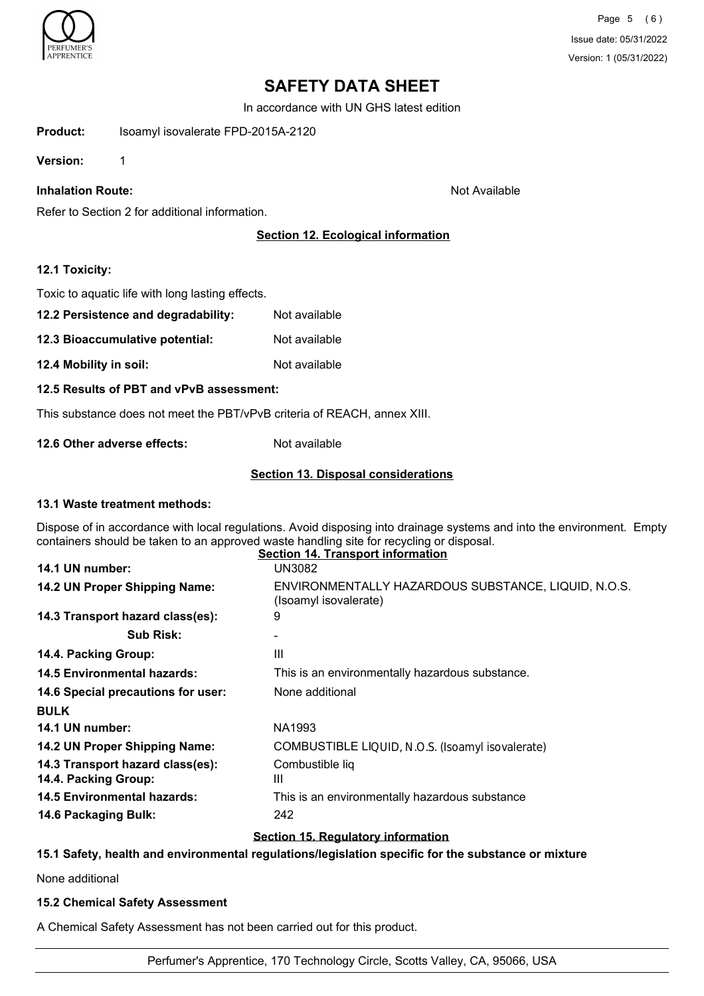

In accordance with UN GHS latest edition

**Product:** Isoamyl isovalerate FPD-2015A-2120

**Version:** 1

## **Inhalation Route:** Not Available

Refer to Section 2 for additional information.

# **Section 12. Ecological information**

### **12.1 Toxicity:**

Toxic to aquatic life with long lasting effects.

- **12.2 Persistence and degradability:** Not available
- **12.3 Bioaccumulative potential:** Not available
- **12.4 Mobility in soil:** Not available

### **12.5 Results of PBT and vPvB assessment:**

This substance does not meet the PBT/vPvB criteria of REACH, annex XIII.

**12.6 Other adverse effects:** Not available

### **Section 13. Disposal considerations**

### **13.1 Waste treatment methods:**

Dispose of in accordance with local regulations. Avoid disposing into drainage systems and into the environment. Empty containers should be taken to an approved waste handling site for recycling or disposal.

|                                                          | <b>Section 14. Transport information</b>                                     |
|----------------------------------------------------------|------------------------------------------------------------------------------|
| 14.1 UN number:                                          | UN3082                                                                       |
| 14.2 UN Proper Shipping Name:                            | ENVIRONMENTALLY HAZARDOUS SUBSTANCE, LIQUID, N.O.S.<br>(Isoamyl isovalerate) |
| 14.3 Transport hazard class(es):                         | 9                                                                            |
| <b>Sub Risk:</b>                                         |                                                                              |
| 14.4. Packing Group:                                     | Ш                                                                            |
| <b>14.5 Environmental hazards:</b>                       | This is an environmentally hazardous substance.                              |
| 14.6 Special precautions for user:                       | None additional                                                              |
| <b>BULK</b>                                              |                                                                              |
| 14.1 UN number:                                          | NA1993                                                                       |
| 14.2 UN Proper Shipping Name:                            | COMBUSTIBLE LIQUID, N.O.S. (Isoamyl isovalerate)                             |
| 14.3 Transport hazard class(es):<br>14.4. Packing Group: | Combustible liq<br>Ш                                                         |
| <b>14.5 Environmental hazards:</b>                       | This is an environmentally hazardous substance                               |
| 14.6 Packaging Bulk:                                     | 242                                                                          |
|                                                          |                                                                              |

### **Section 15. Regulatory information**

### **15.1 Safety, health and environmental regulations/legislation specific for the substance or mixture**

None additional

### **15.2 Chemical Safety Assessment**

A Chemical Safety Assessment has not been carried out for this product.